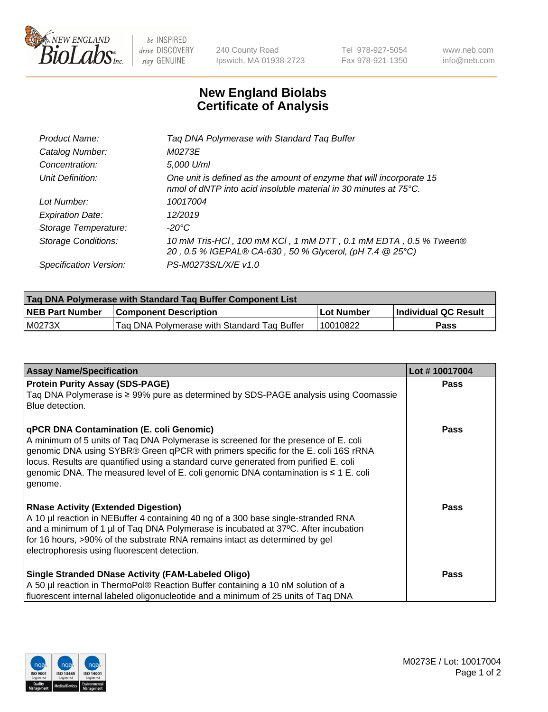

 $be$  INSPIRED drive DISCOVERY stay GENUINE

240 County Road Ipswich, MA 01938-2723 Tel 978-927-5054 Fax 978-921-1350 www.neb.com info@neb.com

## **New England Biolabs Certificate of Analysis**

| Tag DNA Polymerase with Standard Tag Buffer                                                                                              |
|------------------------------------------------------------------------------------------------------------------------------------------|
| M0273E                                                                                                                                   |
| 5,000 U/ml                                                                                                                               |
| One unit is defined as the amount of enzyme that will incorporate 15<br>nmol of dNTP into acid insoluble material in 30 minutes at 75°C. |
| 10017004                                                                                                                                 |
| 12/2019                                                                                                                                  |
| $-20^{\circ}$ C                                                                                                                          |
| 10 mM Tris-HCl, 100 mM KCl, 1 mM DTT, 0.1 mM EDTA, 0.5 % Tween®<br>20, 0.5 % IGEPAL® CA-630, 50 % Glycerol, (pH 7.4 @ 25°C)              |
| PS-M0273S/L/X/E v1.0                                                                                                                     |
|                                                                                                                                          |

| Tag DNA Polymerase with Standard Tag Buffer Component List |                                             |            |                      |  |  |
|------------------------------------------------------------|---------------------------------------------|------------|----------------------|--|--|
| <b>NEB Part Number</b>                                     | <b>Component Description</b>                | Lot Number | Individual QC Result |  |  |
| M0273X                                                     | Tag DNA Polymerase with Standard Tag Buffer | 10010822   | Pass                 |  |  |

| <b>Assay Name/Specification</b>                                                                                                                                                                                                                                                                                                                                                                                           | Lot #10017004 |
|---------------------------------------------------------------------------------------------------------------------------------------------------------------------------------------------------------------------------------------------------------------------------------------------------------------------------------------------------------------------------------------------------------------------------|---------------|
| <b>Protein Purity Assay (SDS-PAGE)</b><br>Taq DNA Polymerase is $\geq$ 99% pure as determined by SDS-PAGE analysis using Coomassie<br>Blue detection.                                                                                                                                                                                                                                                                     | <b>Pass</b>   |
| <b>qPCR DNA Contamination (E. coli Genomic)</b><br>A minimum of 5 units of Taq DNA Polymerase is screened for the presence of E. coli<br>genomic DNA using SYBR® Green qPCR with primers specific for the E. coli 16S rRNA<br>locus. Results are quantified using a standard curve generated from purified E. coli<br>genomic DNA. The measured level of E. coli genomic DNA contamination is $\leq 1$ E. coli<br>genome. | <b>Pass</b>   |
| <b>RNase Activity (Extended Digestion)</b><br>A 10 µl reaction in NEBuffer 4 containing 40 ng of a 300 base single-stranded RNA<br>and a minimum of 1 µl of Taq DNA Polymerase is incubated at 37°C. After incubation<br>for 16 hours, >90% of the substrate RNA remains intact as determined by gel<br>electrophoresis using fluorescent detection.                                                                      | <b>Pass</b>   |
| <b>Single Stranded DNase Activity (FAM-Labeled Oligo)</b><br>A 50 µl reaction in ThermoPol® Reaction Buffer containing a 10 nM solution of a<br>fluorescent internal labeled oligonucleotide and a minimum of 25 units of Taq DNA                                                                                                                                                                                         | <b>Pass</b>   |